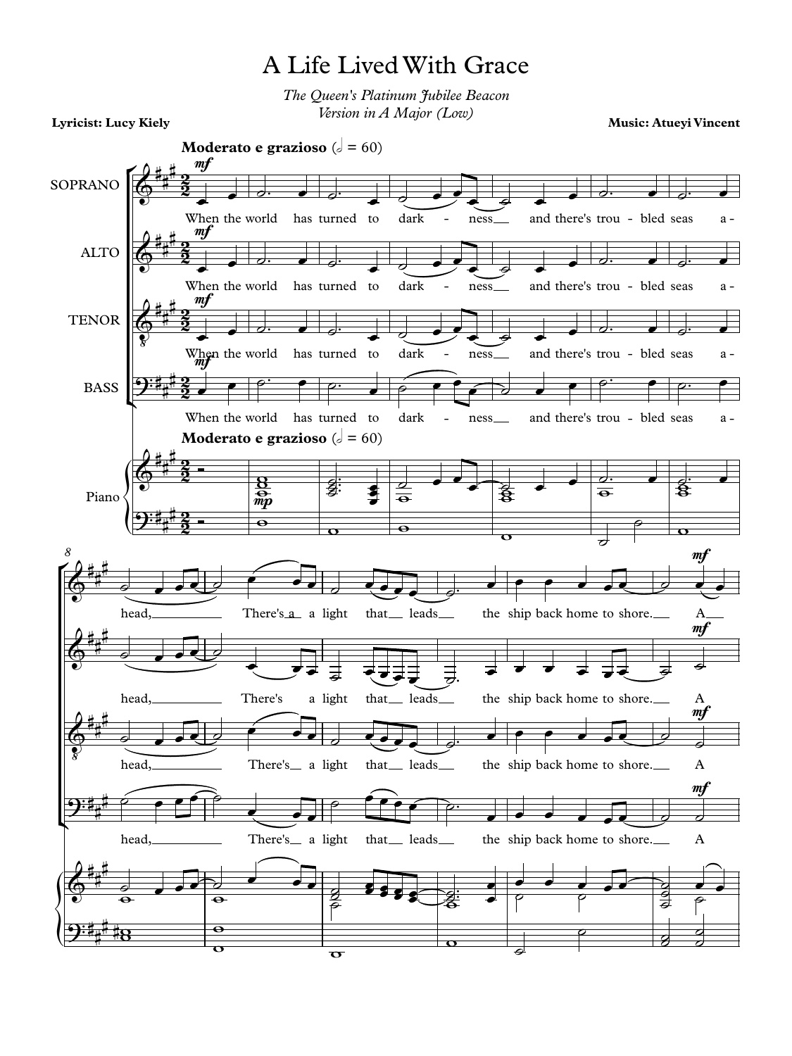## A Life Lived With Grace

*The Queen's Platinum Jubilee Beacon Version in A Major (Low)*

**Lyricist: Lucy Kiely**

**Music: Atueyi Vincent**

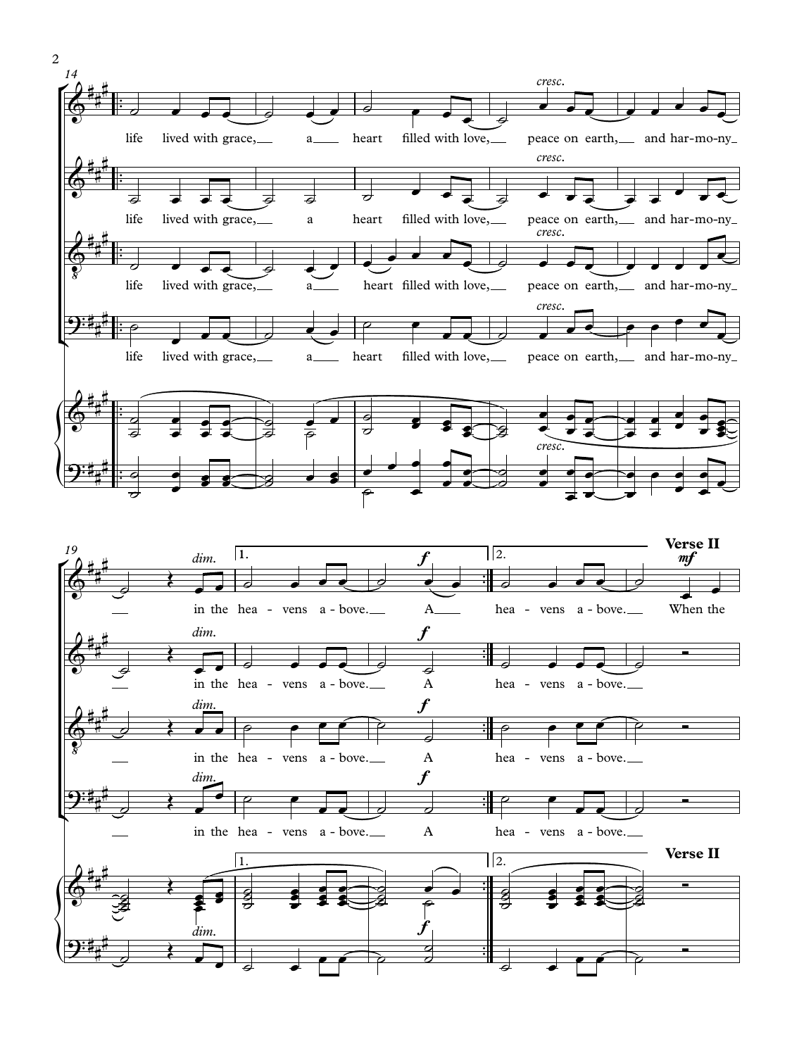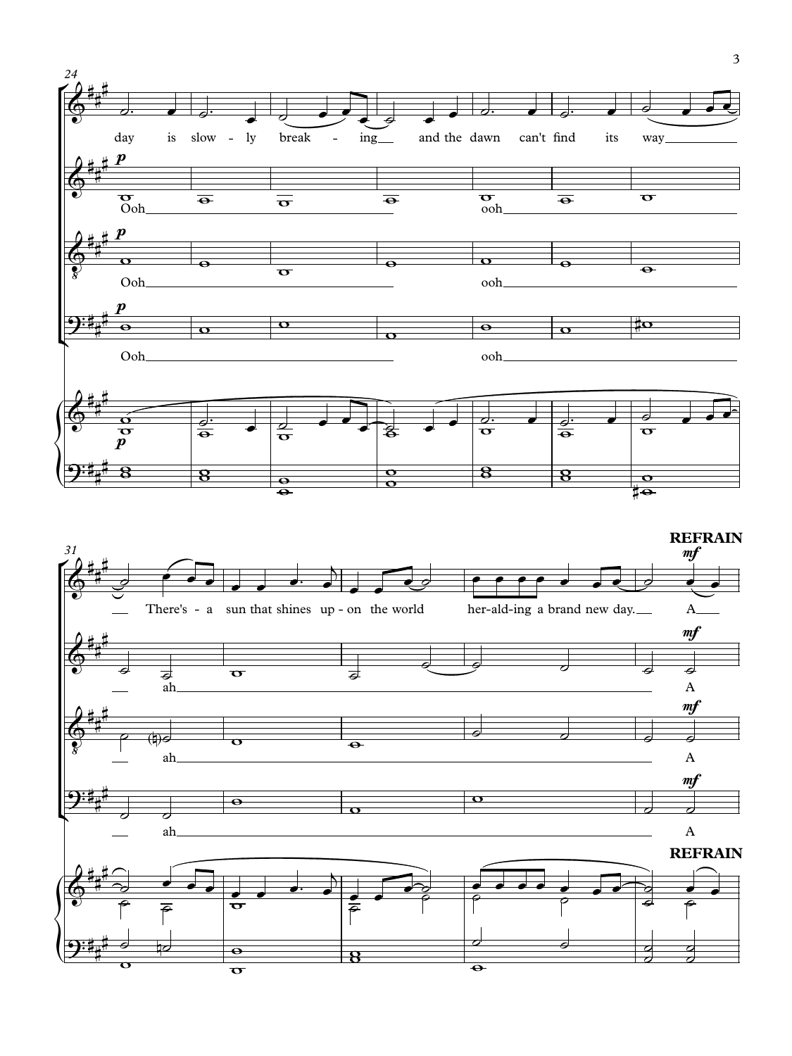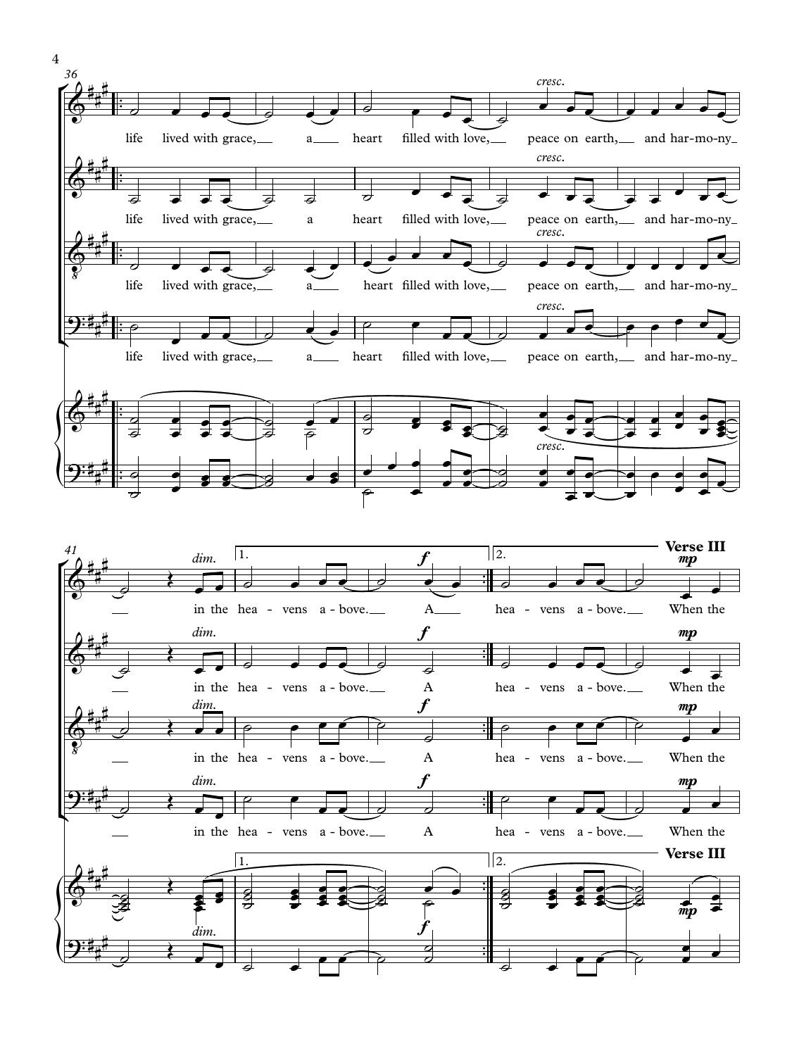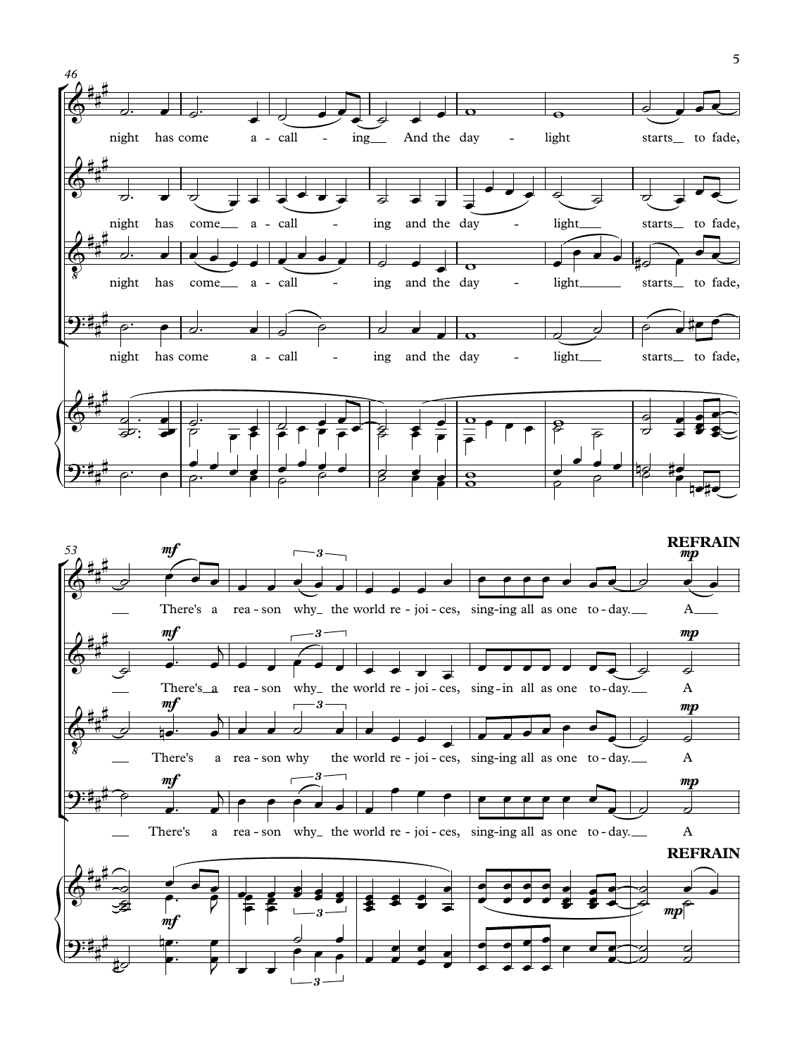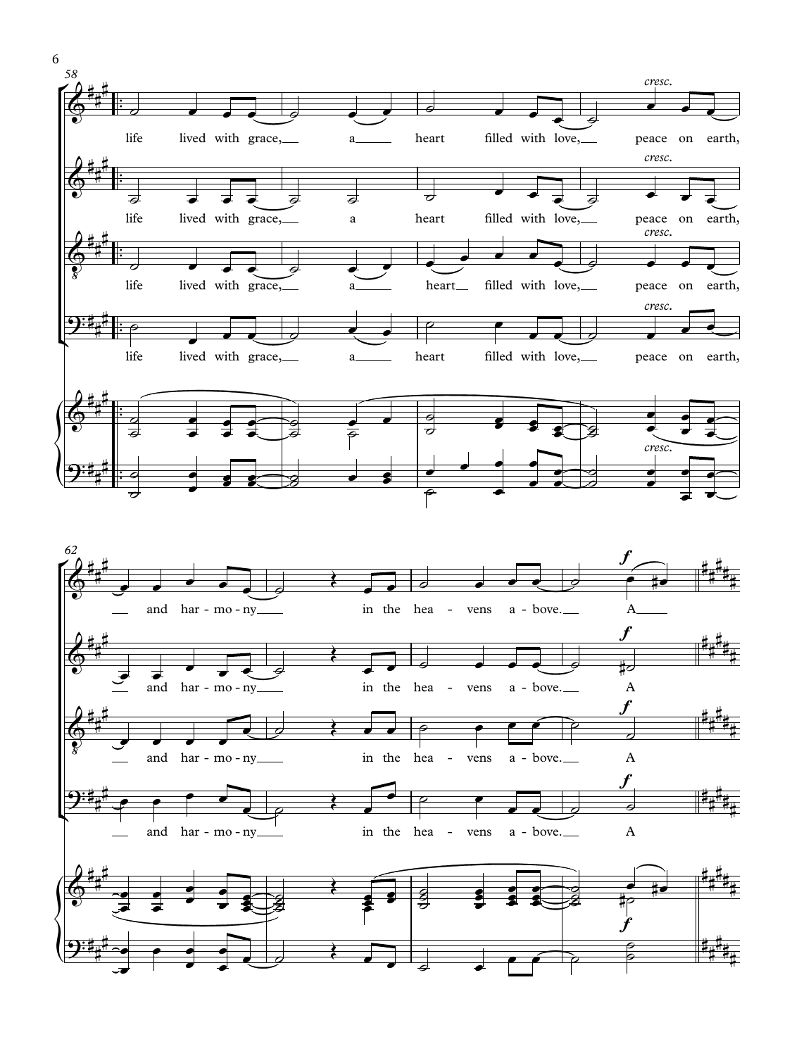